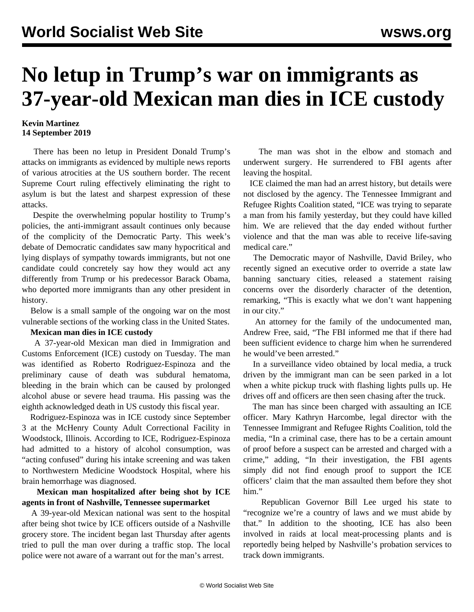# **No letup in Trump's war on immigrants as 37-year-old Mexican man dies in ICE custody**

### **Kevin Martinez 14 September 2019**

 There has been no letup in President Donald Trump's attacks on immigrants as evidenced by multiple news reports of various atrocities at the US southern border. The recent Supreme Court ruling effectively eliminating the right to asylum is but the latest and sharpest expression of these attacks.

 Despite the overwhelming popular hostility to Trump's policies, the anti-immigrant assault continues only because of the complicity of the Democratic Party. This week's debate of Democratic candidates saw many hypocritical and lying displays of sympathy towards immigrants, but not one candidate could concretely say how they would act any differently from Trump or his predecessor Barack Obama, who deported more immigrants than any other president in history.

 Below is a small sample of the ongoing war on the most vulnerable sections of the working class in the United States.

### **Mexican man dies in ICE custody**

 A 37-year-old Mexican man died in Immigration and Customs Enforcement (ICE) custody on Tuesday. The man was identified as Roberto Rodriguez-Espinoza and the preliminary cause of death was subdural hematoma, bleeding in the brain which can be caused by prolonged alcohol abuse or severe head trauma. His passing was the eighth acknowledged death in US custody this fiscal year.

 Rodriguez-Espinoza was in ICE custody since September 3 at the McHenry County Adult Correctional Facility in Woodstock, Illinois. According to ICE, Rodriguez-Espinoza had admitted to a history of alcohol consumption, was "acting confused" during his intake screening and was taken to Northwestern Medicine Woodstock Hospital, where his brain hemorrhage was diagnosed.

## **Mexican man hospitalized after being shot by ICE agents in front of Nashville, Tennessee supermarket**

 A 39-year-old Mexican national was sent to the hospital after being shot twice by ICE officers outside of a Nashville grocery store. The incident began last Thursday after agents tried to pull the man over during a traffic stop. The local police were not aware of a warrant out for the man's arrest.

 The man was shot in the elbow and stomach and underwent surgery. He surrendered to FBI agents after leaving the hospital.

 ICE claimed the man had an arrest history, but details were not disclosed by the agency. The Tennessee Immigrant and Refugee Rights Coalition stated, "ICE was trying to separate a man from his family yesterday, but they could have killed him. We are relieved that the day ended without further violence and that the man was able to receive life-saving medical care."

 The Democratic mayor of Nashville, David Briley, who recently signed an executive order to override a state law banning sanctuary cities, released a statement raising concerns over the disorderly character of the detention, remarking, "This is exactly what we don't want happening in our city."

 An attorney for the family of the undocumented man, Andrew Free, said, "The FBI informed me that if there had been sufficient evidence to charge him when he surrendered he would've been arrested."

 In a surveillance video obtained by local media, a truck driven by the immigrant man can be seen parked in a lot when a white pickup truck with flashing lights pulls up. He drives off and officers are then seen chasing after the truck.

 The man has since been charged with assaulting an ICE officer. Mary Kathryn Harcombe, legal director with the Tennessee Immigrant and Refugee Rights Coalition, told the media, "In a criminal case, there has to be a certain amount of proof before a suspect can be arrested and charged with a crime," adding, "In their investigation, the FBI agents simply did not find enough proof to support the ICE officers' claim that the man assaulted them before they shot him."

 Republican Governor Bill Lee urged his state to "recognize we're a country of laws and we must abide by that." In addition to the shooting, ICE has also been involved in raids at local meat-processing plants and is reportedly being helped by Nashville's probation services to track down immigrants.